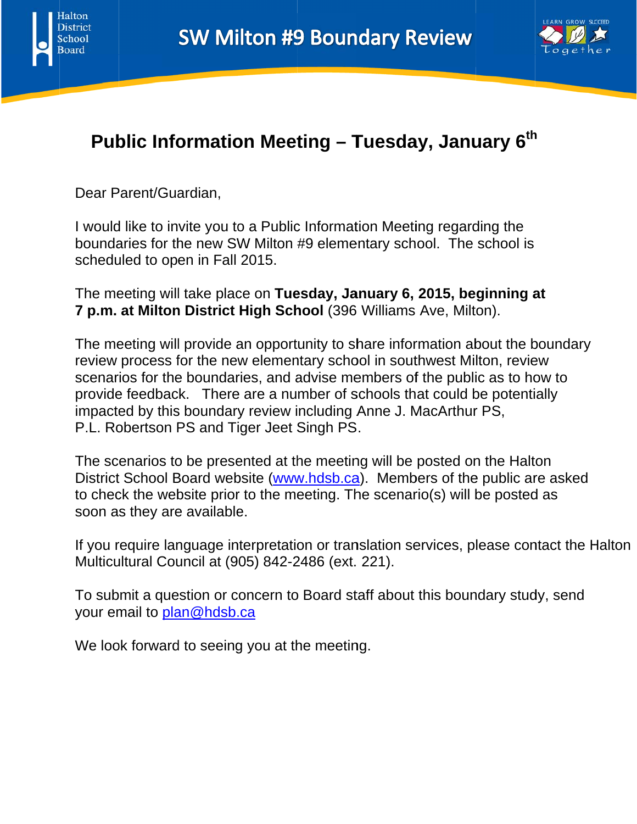



# **Public Information Meeting – Tuesday, January 6<sup>th</sup>**

Dear Parent/Guardian,

I would like to invite you to a Public Information Meeting regarding the boundaries for the new SW Milton #9 elementary school. The school is scheduled to open in Fall 2015. h<br>at

The meeting will take place on Tuesday, January 6, 2015, beginning a **7 p.m. at Milton District High School** (396 Williams Ave, Milton).

The meeting will provide an opportunity to share information about the boundary review process for the new elementary school in southwest Milton, review scenarios for the boundaries, and advise members of the public as to how to provide feedback. There are a number of schools that could be potentially impacted by this boundary review including Anne J. MacArthur PS, P.L. Robertson PS and Tiger Jeet Singh PS.

The scenarios to be presented at the meeting will be posted on the Halton District School Board website (ww[w.hdsb.ca](http://www.hdsb.ca/)). Members of the public are asked to check the website prior to the meeting. The scenario(s) will be posted as soon as they are available.

If you require language interpretation or translation services, please contact the Halton Multicultural Council at (905) 842-2486 (ext. 221).

To submit a question or concern to Board staff about this boundary study, send your email to <u>pl[an@hdsb.](mailto:plan@hdsb.ca)ca</u>

We look forward to seeing you at the meeting.